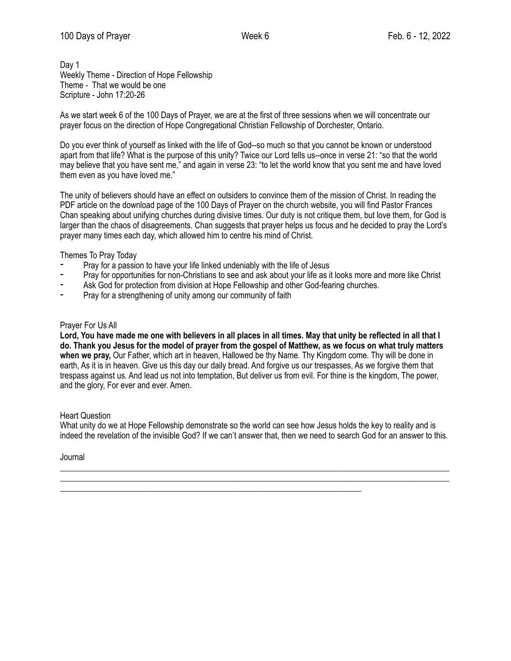Day 1 Weekly Theme - Direction of Hope Fellowship Theme - That we would be one Scripture - John 17:20-26

As we start week 6 of the 100 Days of Prayer, we are at the first of three sessions when we will concentrate our prayer focus on the direction of Hope Congregational Christian Fellowship of Dorchester, Ontario.

Do you ever think of yourself as linked with the life of God--so much so that you cannot be known or understood apart from that life? What is the purpose of this unity? Twice our Lord tells us--once in verse 21: "so that the world may believe that you have sent me," and again in verse 23: "to let the world know that you sent me and have loved them even as you have loved me."

The unity of believers should have an effect on outsiders to convince them of the mission of Christ. In reading the PDF article on the download page of the 100 Days of Prayer on the church website, you will find Pastor Frances Chan speaking about unifying churches during divisive times. Our duty is not critique them, but love them, for God is larger than the chaos of disagreements. Chan suggests that prayer helps us focus and he decided to pray the Lord's prayer many times each day, which allowed him to centre his mind of Christ.

Themes To Pray Today

- Pray for a passion to have your life linked undeniably with the life of Jesus
- Pray for opportunities for non-Christians to see and ask about your life as it looks more and more like Christ
- Ask God for protection from division at Hope Fellowship and other God-fearing churches.
- Pray for a strengthening of unity among our community of faith

## Prayer For Us All

**Lord, You have made me one with believers in all places in all times. May that unity be reflected in all that I do. Thank you Jesus for the model of prayer from the gospel of Matthew, as we focus on what truly matters when we pray,** Our Father, which art in heaven, Hallowed be thy Name. Thy Kingdom come. Thy will be done in earth, As it is in heaven. Give us this day our daily bread. And forgive us our trespasses, As we forgive them that trespass against us. And lead us not into temptation, But deliver us from evil. For thine is the kingdom, The power, and the glory, For ever and ever. Amen.

Heart Question

What unity do we at Hope Fellowship demonstrate so the world can see how Jesus holds the key to reality and is indeed the revelation of the invisible God? If we can't answer that, then we need to search God for an answer to this.

\_\_\_\_\_\_\_\_\_\_\_\_\_\_\_\_\_\_\_\_\_\_\_\_\_\_\_\_\_\_\_\_\_\_\_\_\_\_\_\_\_\_\_\_\_\_\_\_\_\_\_\_\_\_\_\_\_\_\_\_\_\_\_\_\_\_\_\_\_\_\_\_\_\_\_\_\_\_\_\_\_\_\_\_\_\_\_\_\_\_\_\_\_ \_\_\_\_\_\_\_\_\_\_\_\_\_\_\_\_\_\_\_\_\_\_\_\_\_\_\_\_\_\_\_\_\_\_\_\_\_\_\_\_\_\_\_\_\_\_\_\_\_\_\_\_\_\_\_\_\_\_\_\_\_\_\_\_\_\_\_\_\_\_\_\_\_\_\_\_\_\_\_\_\_\_\_\_\_\_\_\_\_\_\_\_\_

\_\_\_\_\_\_\_\_\_\_\_\_\_\_\_\_\_\_\_\_\_\_\_\_\_\_\_\_\_\_\_\_\_\_\_\_\_\_\_\_\_\_\_\_\_\_\_\_\_\_\_\_\_\_\_\_\_\_\_\_\_\_\_\_\_\_\_\_\_\_\_\_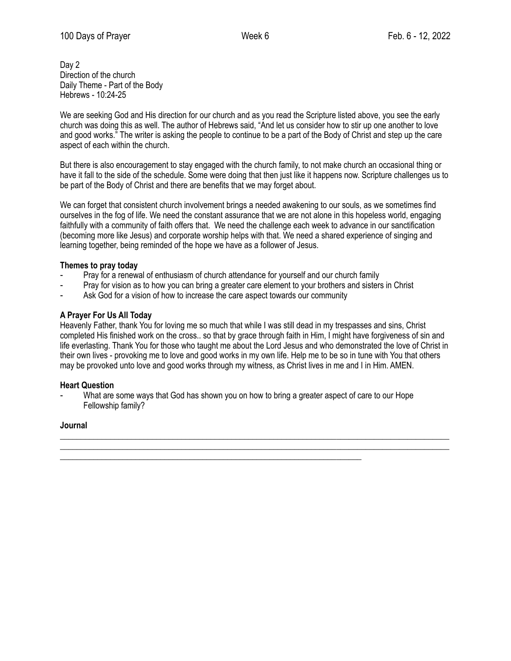Day 2 Direction of the church Daily Theme - Part of the Body Hebrews - 10:24-25

We are seeking God and His direction for our church and as you read the Scripture listed above, you see the early church was doing this as well. The author of Hebrews said, "And let us consider how to stir up one another to love and good works." The writer is asking the people to continue to be a part of the Body of Christ and step up the care aspect of each within the church.

But there is also encouragement to stay engaged with the church family, to not make church an occasional thing or have it fall to the side of the schedule. Some were doing that then just like it happens now. Scripture challenges us to be part of the Body of Christ and there are benefits that we may forget about.

We can forget that consistent church involvement brings a needed awakening to our souls, as we sometimes find ourselves in the fog of life. We need the constant assurance that we are not alone in this hopeless world, engaging faithfully with a community of faith offers that. We need the challenge each week to advance in our sanctification (becoming more like Jesus) and corporate worship helps with that. We need a shared experience of singing and learning together, being reminded of the hope we have as a follower of Jesus.

## **Themes to pray today**

- Pray for a renewal of enthusiasm of church attendance for yourself and our church family
- Pray for vision as to how you can bring a greater care element to your brothers and sisters in Christ
- Ask God for a vision of how to increase the care aspect towards our community

## **A Prayer For Us All Today**

Heavenly Father, thank You for loving me so much that while I was still dead in my trespasses and sins, Christ completed His finished work on the cross.. so that by grace through faith in Him, I might have forgiveness of sin and life everlasting. Thank You for those who taught me about the Lord Jesus and who demonstrated the love of Christ in their own lives - provoking me to love and good works in my own life. Help me to be so in tune with You that others may be provoked unto love and good works through my witness, as Christ lives in me and I in Him. AMEN.

\_\_\_\_\_\_\_\_\_\_\_\_\_\_\_\_\_\_\_\_\_\_\_\_\_\_\_\_\_\_\_\_\_\_\_\_\_\_\_\_\_\_\_\_\_\_\_\_\_\_\_\_\_\_\_\_\_\_\_\_\_\_\_\_\_\_\_\_\_\_\_\_\_\_\_\_\_\_\_\_\_\_\_\_\_\_\_\_\_\_\_\_\_ \_\_\_\_\_\_\_\_\_\_\_\_\_\_\_\_\_\_\_\_\_\_\_\_\_\_\_\_\_\_\_\_\_\_\_\_\_\_\_\_\_\_\_\_\_\_\_\_\_\_\_\_\_\_\_\_\_\_\_\_\_\_\_\_\_\_\_\_\_\_\_\_\_\_\_\_\_\_\_\_\_\_\_\_\_\_\_\_\_\_\_\_\_

#### **Heart Question**

What are some ways that God has shown you on how to bring a greater aspect of care to our Hope Fellowship family?

\_\_\_\_\_\_\_\_\_\_\_\_\_\_\_\_\_\_\_\_\_\_\_\_\_\_\_\_\_\_\_\_\_\_\_\_\_\_\_\_\_\_\_\_\_\_\_\_\_\_\_\_\_\_\_\_\_\_\_\_\_\_\_\_\_\_\_\_\_\_\_\_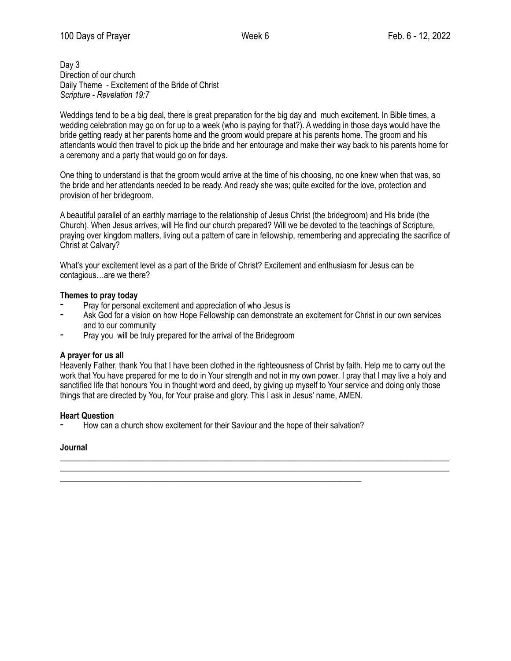Day 3 Direction of our church Daily Theme - Excitement of the Bride of Christ *Scripture - Revelation 19:7*

Weddings tend to be a big deal, there is great preparation for the big day and much excitement. In Bible times, a wedding celebration may go on for up to a week (who is paying for that?). A wedding in those days would have the bride getting ready at her parents home and the groom would prepare at his parents home. The groom and his attendants would then travel to pick up the bride and her entourage and make their way back to his parents home for a ceremony and a party that would go on for days.

One thing to understand is that the groom would arrive at the time of his choosing, no one knew when that was, so the bride and her attendants needed to be ready. And ready she was; quite excited for the love, protection and provision of her bridegroom.

A beautiful parallel of an earthly marriage to the relationship of Jesus Christ (the bridegroom) and His bride (the Church). When Jesus arrives, will He find our church prepared? Will we be devoted to the teachings of Scripture, praying over kingdom matters, living out a pattern of care in fellowship, remembering and appreciating the sacrifice of Christ at Calvary?

What's your excitement level as a part of the Bride of Christ? Excitement and enthusiasm for Jesus can be contagious…are we there?

## **Themes to pray today**

- Pray for personal excitement and appreciation of who Jesus is
- Ask God for a vision on how Hope Fellowship can demonstrate an excitement for Christ in our own services and to our community
- Pray you will be truly prepared for the arrival of the Bridegroom

#### **A prayer for us all**

Heavenly Father, thank You that I have been clothed in the righteousness of Christ by faith. Help me to carry out the work that You have prepared for me to do in Your strength and not in my own power. I pray that I may live a holy and sanctified life that honours You in thought word and deed, by giving up myself to Your service and doing only those things that are directed by You, for Your praise and glory. This I ask in Jesus' name, AMEN.

\_\_\_\_\_\_\_\_\_\_\_\_\_\_\_\_\_\_\_\_\_\_\_\_\_\_\_\_\_\_\_\_\_\_\_\_\_\_\_\_\_\_\_\_\_\_\_\_\_\_\_\_\_\_\_\_\_\_\_\_\_\_\_\_\_\_\_\_\_\_\_\_\_\_\_\_\_\_\_\_\_\_\_\_\_\_\_\_\_\_\_\_\_ \_\_\_\_\_\_\_\_\_\_\_\_\_\_\_\_\_\_\_\_\_\_\_\_\_\_\_\_\_\_\_\_\_\_\_\_\_\_\_\_\_\_\_\_\_\_\_\_\_\_\_\_\_\_\_\_\_\_\_\_\_\_\_\_\_\_\_\_\_\_\_\_\_\_\_\_\_\_\_\_\_\_\_\_\_\_\_\_\_\_\_\_\_

#### **Heart Question**

How can a church show excitement for their Saviour and the hope of their salvation?

\_\_\_\_\_\_\_\_\_\_\_\_\_\_\_\_\_\_\_\_\_\_\_\_\_\_\_\_\_\_\_\_\_\_\_\_\_\_\_\_\_\_\_\_\_\_\_\_\_\_\_\_\_\_\_\_\_\_\_\_\_\_\_\_\_\_\_\_\_\_\_\_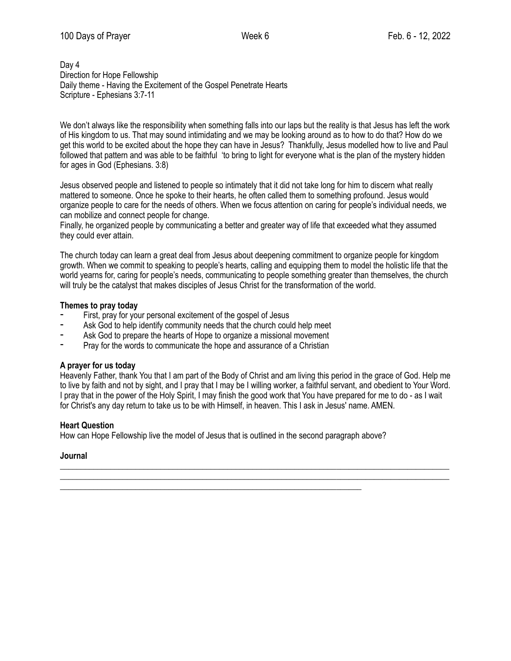### Day 4 Direction for Hope Fellowship Daily theme - Having the Excitement of the Gospel Penetrate Hearts Scripture - Ephesians 3:7-11

We don't always like the responsibility when something falls into our laps but the reality is that Jesus has left the work of His kingdom to us. That may sound intimidating and we may be looking around as to how to do that? How do we get this world to be excited about the hope they can have in Jesus? Thankfully, Jesus modelled how to live and Paul followed that pattern and was able to be faithful 'to bring to light for everyone what is the plan of the mystery hidden for ages in God (Ephesians. 3:8)

Jesus observed people and listened to people so intimately that it did not take long for him to discern what really mattered to someone. Once he spoke to their hearts, he often called them to something profound. Jesus would organize people to care for the needs of others. When we focus attention on caring for people's individual needs, we can mobilize and connect people for change.

Finally, he organized people by communicating a better and greater way of life that exceeded what they assumed they could ever attain.

The church today can learn a great deal from Jesus about deepening commitment to organize people for kingdom growth. When we commit to speaking to people's hearts, calling and equipping them to model the holistic life that the world yearns for, caring for people's needs, communicating to people something greater than themselves, the church will truly be the catalyst that makes disciples of Jesus Christ for the transformation of the world.

## **Themes to pray today**

- First, pray for your personal excitement of the gospel of Jesus
- Ask God to help identify community needs that the church could help meet
- Ask God to prepare the hearts of Hope to organize a missional movement
- Pray for the words to communicate the hope and assurance of a Christian

# **A prayer for us today**

Heavenly Father, thank You that I am part of the Body of Christ and am living this period in the grace of God. Help me to live by faith and not by sight, and I pray that I may be I willing worker, a faithful servant, and obedient to Your Word. I pray that in the power of the Holy Spirit, I may finish the good work that You have prepared for me to do - as I wait for Christ's any day return to take us to be with Himself, in heaven. This I ask in Jesus' name. AMEN.

\_\_\_\_\_\_\_\_\_\_\_\_\_\_\_\_\_\_\_\_\_\_\_\_\_\_\_\_\_\_\_\_\_\_\_\_\_\_\_\_\_\_\_\_\_\_\_\_\_\_\_\_\_\_\_\_\_\_\_\_\_\_\_\_\_\_\_\_\_\_\_\_\_\_\_\_\_\_\_\_\_\_\_\_\_\_\_\_\_\_\_\_\_ \_\_\_\_\_\_\_\_\_\_\_\_\_\_\_\_\_\_\_\_\_\_\_\_\_\_\_\_\_\_\_\_\_\_\_\_\_\_\_\_\_\_\_\_\_\_\_\_\_\_\_\_\_\_\_\_\_\_\_\_\_\_\_\_\_\_\_\_\_\_\_\_\_\_\_\_\_\_\_\_\_\_\_\_\_\_\_\_\_\_\_\_\_

#### **Heart Question**

How can Hope Fellowship live the model of Jesus that is outlined in the second paragraph above?

\_\_\_\_\_\_\_\_\_\_\_\_\_\_\_\_\_\_\_\_\_\_\_\_\_\_\_\_\_\_\_\_\_\_\_\_\_\_\_\_\_\_\_\_\_\_\_\_\_\_\_\_\_\_\_\_\_\_\_\_\_\_\_\_\_\_\_\_\_\_\_\_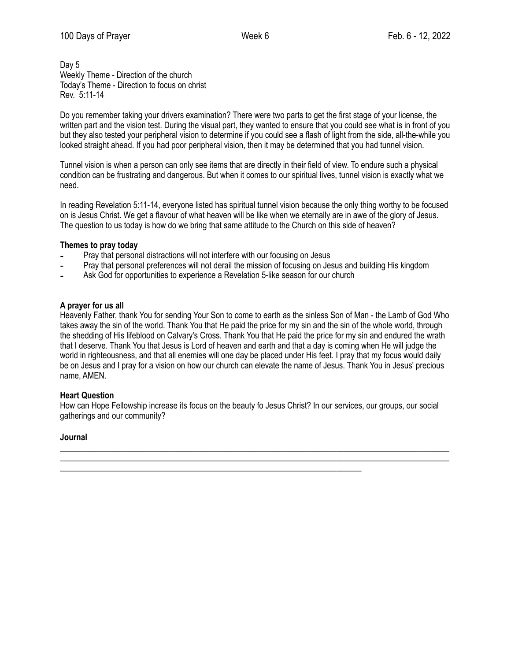Day 5 Weekly Theme - Direction of the church Today's Theme - Direction to focus on christ Rev. 5:11-14

Do you remember taking your drivers examination? There were two parts to get the first stage of your license, the written part and the vision test. During the visual part, they wanted to ensure that you could see what is in front of you but they also tested your peripheral vision to determine if you could see a flash of light from the side, all-the-while you looked straight ahead. If you had poor peripheral vision, then it may be determined that you had tunnel vision.

Tunnel vision is when a person can only see items that are directly in their field of view. To endure such a physical condition can be frustrating and dangerous. But when it comes to our spiritual lives, tunnel vision is exactly what we need.

In reading Revelation 5:11-14, everyone listed has spiritual tunnel vision because the only thing worthy to be focused on is Jesus Christ. We get a flavour of what heaven will be like when we eternally are in awe of the glory of Jesus. The question to us today is how do we bring that same attitude to the Church on this side of heaven?

# **Themes to pray today**

- Pray that personal distractions will not interfere with our focusing on Jesus
- Pray that personal preferences will not derail the mission of focusing on Jesus and building His kingdom
- Ask God for opportunities to experience a Revelation 5-like season for our church

\_\_\_\_\_\_\_\_\_\_\_\_\_\_\_\_\_\_\_\_\_\_\_\_\_\_\_\_\_\_\_\_\_\_\_\_\_\_\_\_\_\_\_\_\_\_\_\_\_\_\_\_\_\_\_\_\_\_\_\_\_\_\_\_\_\_\_\_\_\_\_\_

## **A prayer for us all**

Heavenly Father, thank You for sending Your Son to come to earth as the sinless Son of Man - the Lamb of God Who takes away the sin of the world. Thank You that He paid the price for my sin and the sin of the whole world, through the shedding of His lifeblood on Calvary's Cross. Thank You that He paid the price for my sin and endured the wrath that I deserve. Thank You that Jesus is Lord of heaven and earth and that a day is coming when He will judge the world in righteousness, and that all enemies will one day be placed under His feet. I pray that my focus would daily be on Jesus and I pray for a vision on how our church can elevate the name of Jesus. Thank You in Jesus' precious name, AMEN.

# **Heart Question**

How can Hope Fellowship increase its focus on the beauty fo Jesus Christ? In our services, our groups, our social gatherings and our community?

\_\_\_\_\_\_\_\_\_\_\_\_\_\_\_\_\_\_\_\_\_\_\_\_\_\_\_\_\_\_\_\_\_\_\_\_\_\_\_\_\_\_\_\_\_\_\_\_\_\_\_\_\_\_\_\_\_\_\_\_\_\_\_\_\_\_\_\_\_\_\_\_\_\_\_\_\_\_\_\_\_\_\_\_\_\_\_\_\_\_\_\_\_ \_\_\_\_\_\_\_\_\_\_\_\_\_\_\_\_\_\_\_\_\_\_\_\_\_\_\_\_\_\_\_\_\_\_\_\_\_\_\_\_\_\_\_\_\_\_\_\_\_\_\_\_\_\_\_\_\_\_\_\_\_\_\_\_\_\_\_\_\_\_\_\_\_\_\_\_\_\_\_\_\_\_\_\_\_\_\_\_\_\_\_\_\_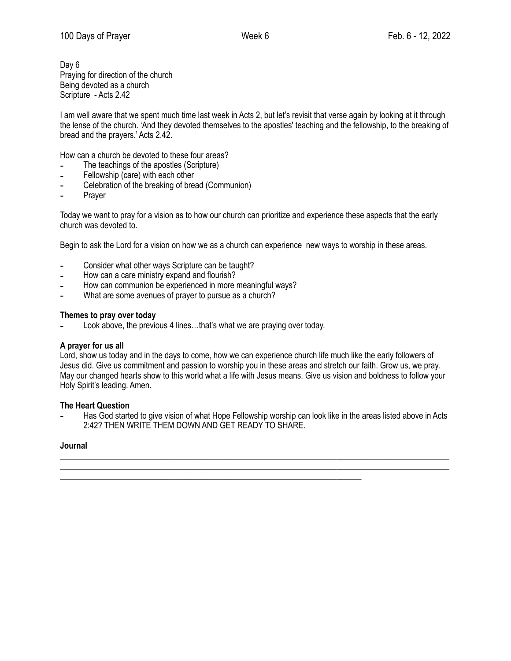Day 6 Praying for direction of the church Being devoted as a church Scripture - Acts 2.42

I am well aware that we spent much time last week in Acts 2, but let's revisit that verse again by looking at it through the lense of the church. 'And they devoted themselves to the apostles' teaching and the fellowship, to the breaking of bread and the prayers.' Acts 2.42.

How can a church be devoted to these four areas?

- The teachings of the apostles (Scripture)
- Fellowship (care) with each other
- Celebration of the breaking of bread (Communion)
- ⁃ Prayer

Today we want to pray for a vision as to how our church can prioritize and experience these aspects that the early church was devoted to.

Begin to ask the Lord for a vision on how we as a church can experience new ways to worship in these areas.

- ⁃ Consider what other ways Scripture can be taught?
- How can a care ministry expand and flourish?
- How can communion be experienced in more meaningful ways?
- What are some avenues of prayer to pursue as a church?

#### **Themes to pray over today**

Look above, the previous 4 lines...that's what we are praying over today.

#### **A prayer for us all**

Lord, show us today and in the days to come, how we can experience church life much like the early followers of Jesus did. Give us commitment and passion to worship you in these areas and stretch our faith. Grow us, we pray. May our changed hearts show to this world what a life with Jesus means. Give us vision and boldness to follow your Holy Spirit's leading. Amen.

#### **The Heart Question**

⁃ Has God started to give vision of what Hope Fellowship worship can look like in the areas listed above in Acts 2:42? THEN WRITE THEM DOWN AND GET READY TO SHARE.

\_\_\_\_\_\_\_\_\_\_\_\_\_\_\_\_\_\_\_\_\_\_\_\_\_\_\_\_\_\_\_\_\_\_\_\_\_\_\_\_\_\_\_\_\_\_\_\_\_\_\_\_\_\_\_\_\_\_\_\_\_\_\_\_\_\_\_\_\_\_\_\_\_\_\_\_\_\_\_\_\_\_\_\_\_\_\_\_\_\_\_\_\_ \_\_\_\_\_\_\_\_\_\_\_\_\_\_\_\_\_\_\_\_\_\_\_\_\_\_\_\_\_\_\_\_\_\_\_\_\_\_\_\_\_\_\_\_\_\_\_\_\_\_\_\_\_\_\_\_\_\_\_\_\_\_\_\_\_\_\_\_\_\_\_\_\_\_\_\_\_\_\_\_\_\_\_\_\_\_\_\_\_\_\_\_\_

\_\_\_\_\_\_\_\_\_\_\_\_\_\_\_\_\_\_\_\_\_\_\_\_\_\_\_\_\_\_\_\_\_\_\_\_\_\_\_\_\_\_\_\_\_\_\_\_\_\_\_\_\_\_\_\_\_\_\_\_\_\_\_\_\_\_\_\_\_\_\_\_